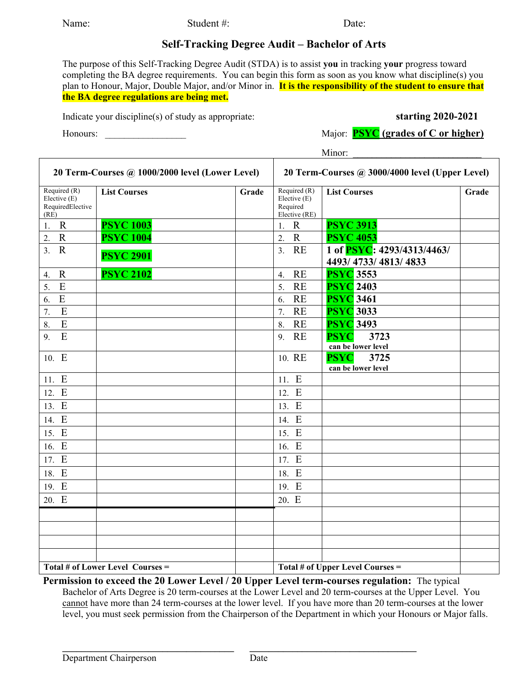Name: Student #: Student #:

## **Self-Tracking Degree Audit – Bachelor of Arts**

The purpose of this Self-Tracking Degree Audit (STDA) is to assist **you** in tracking **your** progress toward completing the BA degree requirements. You can begin this form as soon as you know what discipline(s) you plan to Honour, Major, Double Major, and/or Minor in. **It is the responsibility of the student to ensure that the BA degree regulations are being met.** 

Indicate your discipline(s) of study as appropriate: **starting 2020-2021**

Honours: **Honours: Honours: Major: PSYC** (grades of C or higher) *Major***: PSYC** 

Minor:

| 20 Term-Courses @ 1000/2000 level (Lower Level)            |                     |       | 20 Term-Courses @ 3000/4000 level (Upper Level) |                                               |                     |                                                              |       |
|------------------------------------------------------------|---------------------|-------|-------------------------------------------------|-----------------------------------------------|---------------------|--------------------------------------------------------------|-------|
| Required $(R)$<br>Elective (E)<br>RequiredElective<br>(RE) | <b>List Courses</b> | Grade | Required                                        | Required (R)<br>Elective (E)<br>Elective (RE) | <b>List Courses</b> |                                                              | Grade |
| $\mathbf R$<br>1.                                          | <b>PSYC 1003</b>    |       | 1.                                              | $\mathbf R$                                   | <b>PSYC 3913</b>    |                                                              |       |
| $\mathbf R$<br>2.                                          | <b>PSYC 1004</b>    |       | $\overline{2}$ .                                | $\mathbf R$                                   | <b>PSYC 4053</b>    |                                                              |       |
| $\overline{3}$ .<br>$\mathbf R$                            | <b>PSYC 2901</b>    |       | 3.                                              | <b>RE</b>                                     |                     | 1 of <b>PSYC</b> : 4293/4313/4463/<br>4493/ 4733/ 4813/ 4833 |       |
| $\mathbf R$<br>4.                                          | <b>PSYC 2102</b>    |       | 4.                                              | <b>RE</b>                                     | <b>PSYC</b> 3553    |                                                              |       |
| $\overline{E}$<br>5.                                       |                     |       | 5.                                              | <b>RE</b>                                     | <b>PSYC</b> 2403    |                                                              |       |
| E<br>6.                                                    |                     |       | 6.                                              | <b>RE</b>                                     | <b>PSYC</b> 3461    |                                                              |       |
| E<br>7.                                                    |                     |       | 7.                                              | <b>RE</b>                                     | <b>PSYC</b> 3033    |                                                              |       |
| E<br>8.                                                    |                     |       | 8.                                              | <b>RE</b>                                     | <b>PSYC</b> 3493    |                                                              |       |
| E<br>9.                                                    |                     |       | 9. RE                                           |                                               | <b>PSYC</b>         | 3723<br>can be lower level                                   |       |
| 10. E                                                      |                     |       | 10. RE                                          |                                               | <b>PSYC</b>         | 3725<br>can be lower level                                   |       |
| 11. E                                                      |                     |       | 11. E                                           |                                               |                     |                                                              |       |
| 12. E                                                      |                     |       | 12. E                                           |                                               |                     |                                                              |       |
| 13. E                                                      |                     |       | 13. E                                           |                                               |                     |                                                              |       |
| 14. E                                                      |                     |       | 14. E                                           |                                               |                     |                                                              |       |
| 15. E                                                      |                     |       | 15. E                                           |                                               |                     |                                                              |       |
| 16. E                                                      |                     |       | 16. E                                           |                                               |                     |                                                              |       |
| 17. E                                                      |                     |       | 17. E                                           |                                               |                     |                                                              |       |
| 18. E                                                      |                     |       | 18. E                                           |                                               |                     |                                                              |       |
| 19. E                                                      |                     |       | 19. E                                           |                                               |                     |                                                              |       |
| 20. E                                                      |                     |       | 20. E                                           |                                               |                     |                                                              |       |
|                                                            |                     |       |                                                 |                                               |                     |                                                              |       |
|                                                            |                     |       |                                                 |                                               |                     |                                                              |       |
|                                                            |                     |       |                                                 |                                               |                     |                                                              |       |
|                                                            |                     |       |                                                 |                                               |                     |                                                              |       |
| Total # of Lower Level Courses =                           |                     |       | Total # of Upper Level Courses =                |                                               |                     |                                                              |       |

**Permission to exceed the 20 Lower Level / 20 Upper Level term-courses regulation:** The typical Bachelor of Arts Degree is 20 term-courses at the Lower Level and 20 term-courses at the Upper Level. You cannot have more than 24 term-courses at the lower level. If you have more than 20 term-courses at the lower level, you must seek permission from the Chairperson of the Department in which your Honours or Major falls.

**\_\_\_\_\_\_\_\_\_\_\_\_\_\_\_\_\_\_\_\_\_\_\_\_\_\_\_\_\_\_\_\_\_\_\_\_ \_\_\_\_\_\_\_\_\_\_\_\_\_\_\_\_\_\_\_\_\_\_\_\_\_\_\_\_\_\_\_\_\_\_\_**